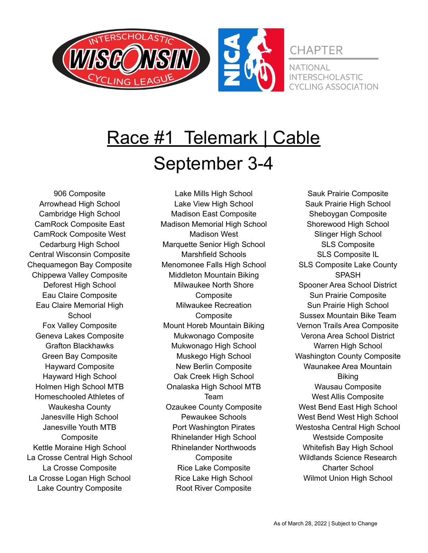

# Race #1 Telemark | Cable September 3-4

906 Composite Arrowhead High School Cambridge High School CamRock Composite East CamRock Composite West Cedarburg High School Central Wisconsin Composite Chequamegon Bay Composite Chippewa Valley Composite Deforest High School Eau Claire Composite Eau Claire Memorial High **School** Fox Valley Composite Geneva Lakes Composite Grafton Blackhawks Green Bay Composite Hayward Composite Hayward High School Holmen High School MTB Homeschooled Athletes of Waukesha County Janesville High School Janesville Youth MTB **Composite** Kettle Moraine High School La Crosse Central High School La Crosse Composite La Crosse Logan High School Lake Country Composite

Lake Mills High School Lake View High School Madison East Composite Madison Memorial High School Madison West Marquette Senior High School Marshfield Schools Menomonee Falls High School Middleton Mountain Biking Milwaukee North Shore **Composite** Milwaukee Recreation **Composite** Mount Horeb Mountain Biking Mukwonago Composite Mukwonago High School Muskego High School New Berlin Composite Oak Creek High School Onalaska High School MTB Team Ozaukee County Composite Pewaukee Schools Port Washington Pirates Rhinelander High School Rhinelander Northwoods **Composite** Rice Lake Composite Rice Lake High School Root River Composite

Sauk Prairie Composite Sauk Prairie High School Sheboygan Composite Shorewood High School Slinger High School SLS Composite SLS Composite IL SLS Composite Lake County SPASH Spooner Area School District Sun Prairie Composite Sun Prairie High School Sussex Mountain Bike Team Vernon Trails Area Composite Verona Area School District Warren High School Washington County Composite Waunakee Area Mountain **Biking** Wausau Composite West Allis Composite West Bend East High School West Bend West High School Westosha Central High School Westside Composite Whitefish Bay High School Wildlands Science Research Charter School Wilmot Union High School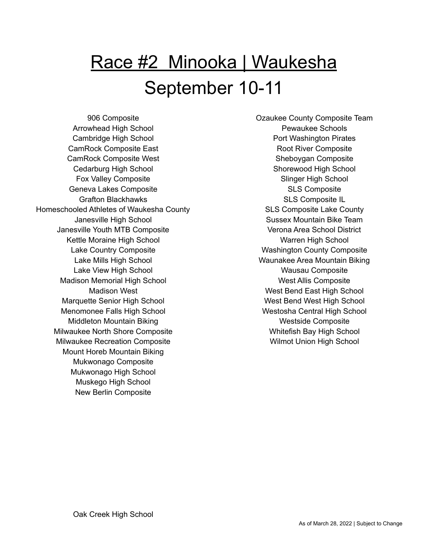# Race #2 Minooka | Waukesha September 10-11

906 Composite Arrowhead High School Cambridge High School CamRock Composite East CamRock Composite West Cedarburg High School Fox Valley Composite Geneva Lakes Composite Grafton Blackhawks Homeschooled Athletes of Waukesha County Janesville High School Janesville Youth MTB Composite Kettle Moraine High School Lake Country Composite Lake Mills High School Lake View High School Madison Memorial High School Madison West Marquette Senior High School Menomonee Falls High School Middleton Mountain Biking Milwaukee North Shore Composite Milwaukee Recreation Composite Mount Horeb Mountain Biking Mukwonago Composite Mukwonago High School Muskego High School New Berlin Composite

Ozaukee County Composite Team Pewaukee Schools Port Washington Pirates Root River Composite Sheboygan Composite Shorewood High School Slinger High School SLS Composite SLS Composite IL SLS Composite Lake County Sussex Mountain Bike Team Verona Area School District Warren High School Washington County Composite Waunakee Area Mountain Biking Wausau Composite West Allis Composite West Bend East High School West Bend West High School Westosha Central High School Westside Composite Whitefish Bay High School Wilmot Union High School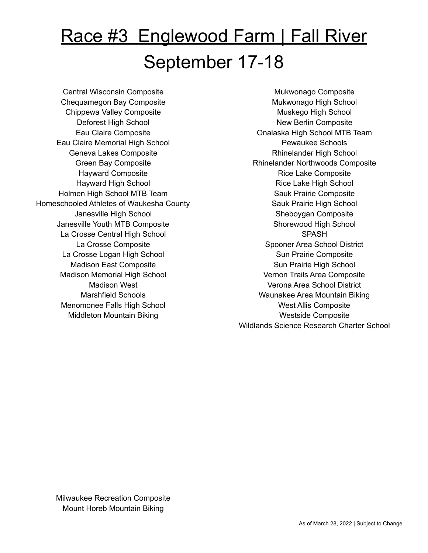# <u>Race #3 Englewood Farm | Fall River</u> September 17-18

Central Wisconsin Composite Chequamegon Bay Composite Chippewa Valley Composite Deforest High School Eau Claire Composite Eau Claire Memorial High School Geneva Lakes Composite Green Bay Composite Hayward Composite Hayward High School Holmen High School MTB Team Homeschooled Athletes of Waukesha County Janesville High School Janesville Youth MTB Composite La Crosse Central High School La Crosse Composite La Crosse Logan High School Madison East Composite Madison Memorial High School Madison West Marshfield Schools Menomonee Falls High School Middleton Mountain Biking

Mukwonago Composite Mukwonago High School Muskego High School New Berlin Composite Onalaska High School MTB Team Pewaukee Schools Rhinelander High School Rhinelander Northwoods Composite Rice Lake Composite Rice Lake High School Sauk Prairie Composite Sauk Prairie High School Sheboygan Composite Shorewood High School **SPASH** Spooner Area School District Sun Prairie Composite Sun Prairie High School Vernon Trails Area Composite Verona Area School District Waunakee Area Mountain Biking West Allis Composite Westside Composite Wildlands Science Research Charter School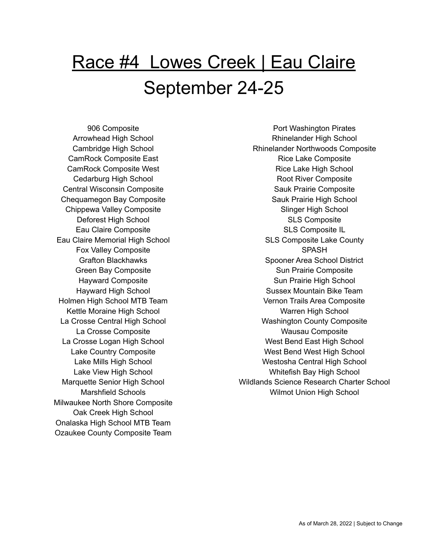# Race #4 Lowes Creek | Eau Claire September 24-25

906 Composite Arrowhead High School Cambridge High School CamRock Composite East CamRock Composite West Cedarburg High School Central Wisconsin Composite Chequamegon Bay Composite Chippewa Valley Composite Deforest High School Eau Claire Composite Eau Claire Memorial High School Fox Valley Composite Grafton Blackhawks Green Bay Composite Hayward Composite Hayward High School Holmen High School MTB Team Kettle Moraine High School La Crosse Central High School La Crosse Composite La Crosse Logan High School Lake Country Composite Lake Mills High School Lake View High School Marquette Senior High School Marshfield Schools Milwaukee North Shore Composite Oak Creek High School Onalaska High School MTB Team Ozaukee County Composite Team

Port Washington Pirates Rhinelander High School Rhinelander Northwoods Composite Rice Lake Composite Rice Lake High School Root River Composite Sauk Prairie Composite Sauk Prairie High School Slinger High School SLS Composite SLS Composite IL SLS Composite Lake County SPASH Spooner Area School District Sun Prairie Composite Sun Prairie High School Sussex Mountain Bike Team Vernon Trails Area Composite Warren High School Washington County Composite Wausau Composite West Bend East High School West Bend West High School Westosha Central High School Whitefish Bay High School Wildlands Science Research Charter School Wilmot Union High School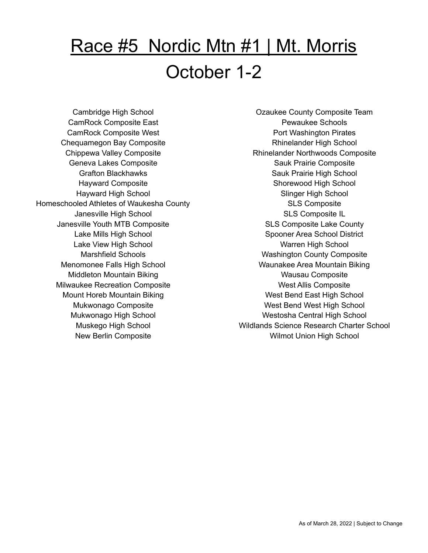# Race #5 Nordic Mtn #1 | Mt. Morris October 1-2

Cambridge High School CamRock Composite East CamRock Composite West Chequamegon Bay Composite Chippewa Valley Composite Geneva Lakes Composite Grafton Blackhawks Hayward Composite Hayward High School Homeschooled Athletes of Waukesha County Janesville High School Janesville Youth MTB Composite Lake Mills High School Lake View High School Marshfield Schools Menomonee Falls High School Middleton Mountain Biking Milwaukee Recreation Composite Mount Horeb Mountain Biking Mukwonago Composite Mukwonago High School Muskego High School New Berlin Composite

Ozaukee County Composite Team Pewaukee Schools Port Washington Pirates Rhinelander High School Rhinelander Northwoods Composite Sauk Prairie Composite Sauk Prairie High School Shorewood High School Slinger High School SLS Composite SLS Composite IL SLS Composite Lake County Spooner Area School District Warren High School Washington County Composite Waunakee Area Mountain Biking Wausau Composite West Allis Composite West Bend East High School West Bend West High School Westosha Central High School Wildlands Science Research Charter School Wilmot Union High School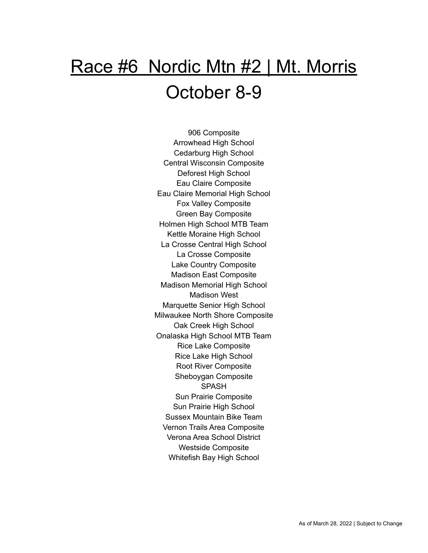# Race #6 Nordic Mtn #2 | Mt. Morris October 8-9

906 Composite Arrowhead High School Cedarburg High School Central Wisconsin Composite Deforest High School Eau Claire Composite Eau Claire Memorial High School Fox Valley Composite Green Bay Composite Holmen High School MTB Team Kettle Moraine High School La Crosse Central High School La Crosse Composite Lake Country Composite Madison East Composite Madison Memorial High School Madison West Marquette Senior High School Milwaukee North Shore Composite Oak Creek High School Onalaska High School MTB Team Rice Lake Composite Rice Lake High School Root River Composite Sheboygan Composite SPASH Sun Prairie Composite Sun Prairie High School Sussex Mountain Bike Team Vernon Trails Area Composite Verona Area School District Westside Composite Whitefish Bay High School